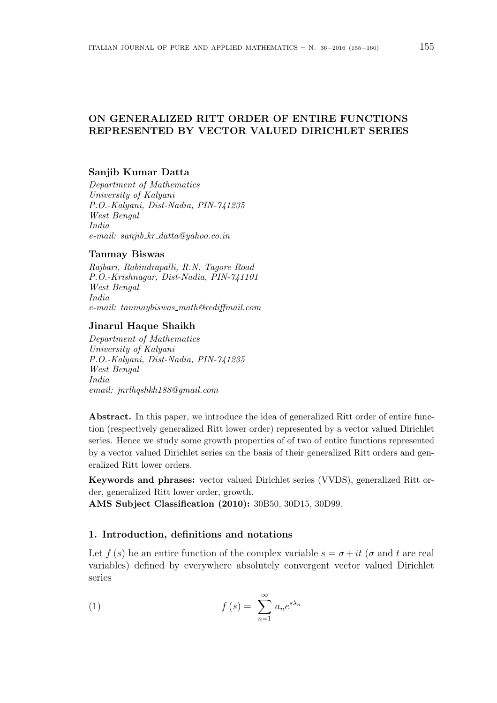# ON GENERALIZED RITT ORDER OF ENTIRE FUNCTIONS REPRESENTED BY VECTOR VALUED DIRICHLET SERIES

# Sanjib Kumar Datta

Department of Mathematics University of Kalyani P.O.-Kalyani, Dist-Nadia, PIN-741235 West Bengal India  $e$ -mail: sanjib\_kr\_datta@yahoo.co.in

### Tanmay Biswas

Rajbari, Rabindrapalli, R.N. Tagore Road P.O.-Krishnagar, Dist-Nadia, PIN-741101 West Bengal India  $e-mail:$  tanmaybiswas\_math@rediffmail.com

## Jinarul Haque Shaikh

Department of Mathematics University of Kalyani P.O.-Kalyani, Dist-Nadia, PIN-741235 West Bengal India email: jnrlhqshkh188@gmail.com

Abstract. In this paper, we introduce the idea of generalized Ritt order of entire function (respectively generalized Ritt lower order) represented by a vector valued Dirichlet series. Hence we study some growth properties of of two of entire functions represented by a vector valued Dirichlet series on the basis of their generalized Ritt orders and generalized Ritt lower orders.

Keywords and phrases: vector valued Dirichlet series (VVDS), generalized Ritt order, generalized Ritt lower order, growth.

AMS Subject Classification (2010): 30B50, 30D15, 30D99.

# 1. Introduction, definitions and notations

Let  $f(s)$  be an entire function of the complex variable  $s = \sigma + it$  ( $\sigma$  and t are real variables) defined by everywhere absolutely convergent vector valued Dirichlet series

(1) 
$$
f(s) = \sum_{n=1}^{\infty} a_n e^{s\lambda_n}
$$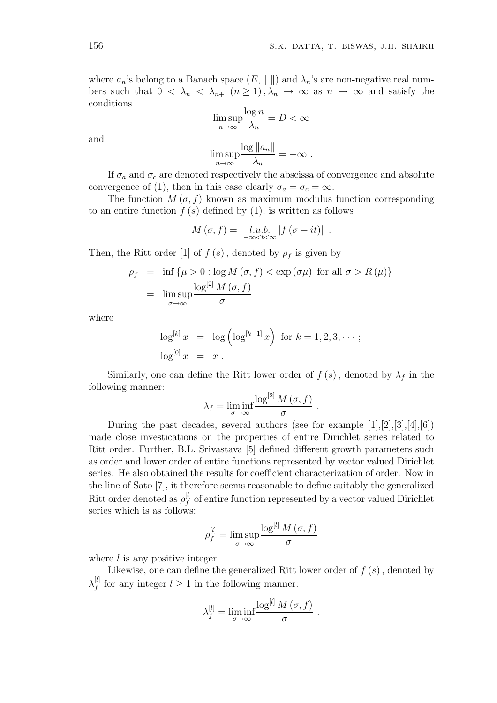where  $a_n$ 's belong to a Banach space  $(E, \|\cdot\|)$  and  $\lambda_n$ 's are non-negative real numbers such that  $0 < \lambda_n < \lambda_{n+1}$   $(n \ge 1)$ ,  $\lambda_n \to \infty$  as  $n \to \infty$  and satisfy the conditions

$$
\limsup_{n \to \infty} \frac{\log n}{\lambda_n} = D < \infty
$$

and

$$
\limsup_{n\to\infty}\frac{\log||a_n||}{\lambda_n}=-\infty.
$$

If  $\sigma_a$  and  $\sigma_c$  are denoted respectively the abscissa of convergence and absolute convergence of (1), then in this case clearly  $\sigma_a = \sigma_c = \infty$ .

The function  $M(\sigma, f)$  known as maximum modulus function corresponding to an entire function  $f(s)$  defined by (1), is written as follows

$$
M(\sigma, f) = \lim_{-\infty < t < \infty} |f(\sigma + it)|.
$$

Then, the Ritt order [1] of  $f(s)$ , denoted by  $\rho_f$  is given by

$$
\rho_f = \inf \{ \mu > 0 : \log M(\sigma, f) < \exp (\sigma \mu) \text{ for all } \sigma > R(\mu) \}
$$

$$
= \limsup_{\sigma \to \infty} \frac{\log^{[2]} M(\sigma, f)}{\sigma}
$$

where

$$
\log^{[k]} x = \log \left( \log^{[k-1]} x \right) \text{ for } k = 1, 2, 3, \cdots;
$$
  

$$
\log^{[0]} x = x.
$$

Similarly, one can define the Ritt lower order of  $f(s)$ , denoted by  $\lambda_f$  in the following manner:

$$
\lambda_f = \liminf_{\sigma \to \infty} \frac{\log^{[2]} M(\sigma, f)}{\sigma}.
$$

During the past decades, several authors (see for example [1],[2],[3],[4],[6]) made close investications on the properties of entire Dirichlet series related to Ritt order. Further, B.L. Srivastava [5] defined different growth parameters such as order and lower order of entire functions represented by vector valued Dirichlet series. He also obtained the results for coefficient characterization of order. Now in the line of Sato [7], it therefore seems reasonable to define suitably the generalized Ritt order denoted as  $\rho_t^{[l]}$  $f_f^{[l]}$  of entire function represented by a vector valued Dirichlet series which is as follows:

$$
\rho_f^{[l]} = \limsup_{\sigma \to \infty} \frac{\log^{[l]} M(\sigma, f)}{\sigma}
$$

where  $l$  is any positive integer.

Likewise, one can define the generalized Ritt lower order of  $f(s)$ , denoted by  $\lambda_\mathrm{f}^{[l]}$  $f_f^{[l]}$  for any integer  $l \geq 1$  in the following manner:

$$
\lambda_f^{[l]} = \liminf_{\sigma \to \infty} \frac{\log^{[l]} M(\sigma, f)}{\sigma}.
$$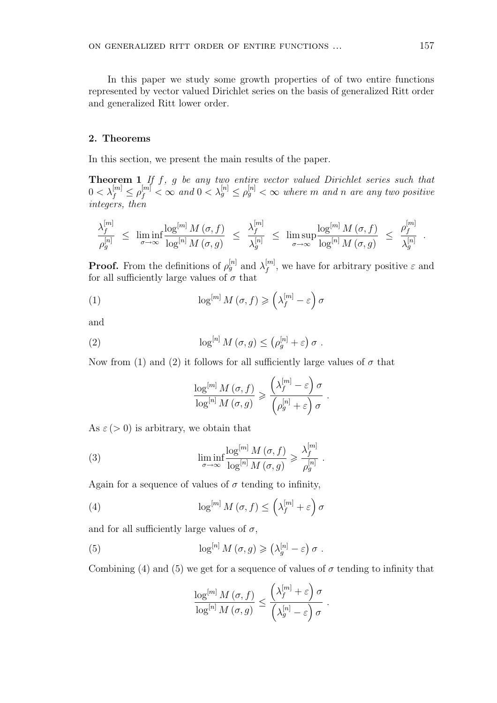In this paper we study some growth properties of of two entire functions represented by vector valued Dirichlet series on the basis of generalized Ritt order and generalized Ritt lower order.

#### 2. Theorems

In this section, we present the main results of the paper.

**Theorem 1** If  $f$ ,  $g$  be any two entire vector valued Dirichlet series such that  $0<\lambda_f^{[m]}\leq \rho_f^{[m]}<\infty$  and  $0<\lambda_g^{[n]}\leq \rho_g^{[n]}<\infty$  where  $m$  and  $n$  are any two positive integers, then

$$
\frac{\lambda_f^{[m]}}{\rho_g^{[n]}} \;\leq\; \liminf_{\sigma\to\infty} \frac{\log^{[m]} M\left(\sigma,f\right)}{\log^{[n]} M\left(\sigma,g\right)} \;\leq\; \frac{\lambda_f^{[m]}}{\lambda_g^{[n]}}\;\leq\; \limsup_{\sigma\to\infty} \frac{\log^{[m]} M\left(\sigma,f\right)}{\log^{[n]} M\left(\sigma,g\right)} \;\leq\; \frac{\rho_f^{[m]}}{\lambda_g^{[n]}}\;.
$$

**Proof.** From the definitions of  $\rho_g^{[n]}$  and  $\lambda_f^{[m]}$  $f_f^{[m]}$ , we have for arbitrary positive  $\varepsilon$  and for all sufficiently large values of  $\sigma$  that

(1) 
$$
\log^{[m]} M(\sigma, f) \geq \left(\lambda_f^{[m]} - \varepsilon\right) \sigma
$$

and

(2) 
$$
\log^{[n]} M(\sigma, g) \leq (\rho_g^{[n]} + \varepsilon) \sigma.
$$

Now from (1) and (2) it follows for all sufficiently large values of  $\sigma$  that

$$
\frac{\log^{[m]} M(\sigma, f)}{\log^{[n]} M(\sigma, g)} \geqslant \frac{\left(\lambda_f^{[m]} - \varepsilon\right) \sigma}{\left(\rho_g^{[n]} + \varepsilon\right) \sigma}.
$$

As  $\varepsilon$  (> 0) is arbitrary, we obtain that

(3) 
$$
\liminf_{\sigma \to \infty} \frac{\log^{[m]} M(\sigma, f)}{\log^{[n]} M(\sigma, g)} \geq \frac{\lambda_f^{[m]}}{\rho_g^{[n]}}.
$$

Again for a sequence of values of  $\sigma$  tending to infinity,

(4) 
$$
\log^{[m]} M(\sigma, f) \leq \left(\lambda_f^{[m]} + \varepsilon\right) \sigma
$$

and for all sufficiently large values of  $\sigma$ ,

(5) 
$$
\log^{[n]} M(\sigma, g) \geq (\lambda_g^{[n]} - \varepsilon) \sigma.
$$

Combining (4) and (5) we get for a sequence of values of  $\sigma$  tending to infinity that

$$
\frac{\log^{[m]} M(\sigma, f)}{\log^{[n]} M(\sigma, g)} \leq \frac{\left(\lambda_f^{[m]} + \varepsilon\right) \sigma}{\left(\lambda_g^{[n]} - \varepsilon\right) \sigma}.
$$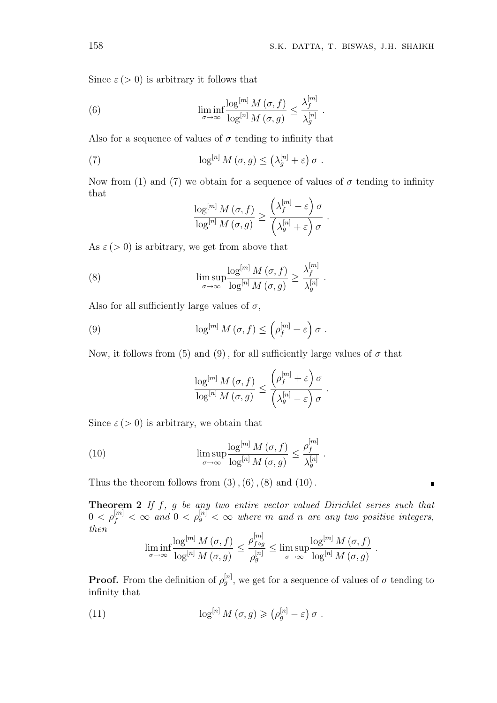.

Since  $\varepsilon$  ( $> 0$ ) is arbitrary it follows that

(6) 
$$
\liminf_{\sigma \to \infty} \frac{\log^{[m]} M(\sigma, f)}{\log^{[n]} M(\sigma, g)} \le \frac{\lambda_f^{[m]}}{\lambda_g^{[n]}}
$$

Also for a sequence of values of  $\sigma$  tending to infinity that

(7) 
$$
\log^{[n]} M(\sigma, g) \leq (\lambda_g^{[n]} + \varepsilon) \sigma.
$$

Now from (1) and (7) we obtain for a sequence of values of  $\sigma$  tending to infinity that  $\binom{m}{2}$ 

$$
\frac{\log^{[m]} M(\sigma, f)}{\log^{[n]} M(\sigma, g)} \ge \frac{\left(\lambda_f^{[m]} - \varepsilon\right) \sigma}{\left(\lambda_g^{[n]} + \varepsilon\right) \sigma}.
$$

As  $\varepsilon$  (> 0) is arbitrary, we get from above that

(8) 
$$
\limsup_{\sigma \to \infty} \frac{\log^{[m]} M(\sigma, f)}{\log^{[n]} M(\sigma, g)} \ge \frac{\lambda_f^{[m]}}{\lambda_g^{[n]}}.
$$

Also for all sufficiently large values of  $\sigma$ ,

(9) 
$$
\log^{[m]} M(\sigma, f) \leq \left(\rho_f^{[m]} + \varepsilon\right) \sigma.
$$

Now, it follows from (5) and (9), for all sufficiently large values of  $\sigma$  that

$$
\frac{\log^{[m]} M(\sigma, f)}{\log^{[n]} M(\sigma, g)} \leq \frac{\left(\rho_f^{[m]} + \varepsilon\right) \sigma}{\left(\lambda_g^{[n]} - \varepsilon\right) \sigma}.
$$

Since  $\varepsilon$  (> 0) is arbitrary, we obtain that

(10) 
$$
\limsup_{\sigma \to \infty} \frac{\log^{[m]} M(\sigma, f)}{\log^{[n]} M(\sigma, g)} \leq \frac{\rho_f^{[m]}}{\lambda_g^{[n]}}.
$$

Thus the theorem follows from  $(3)$ ,  $(6)$ ,  $(8)$  and  $(10)$ .

**Theorem 2** If  $f$ ,  $g$  be any two entire vector valued Dirichlet series such that  $0 < \rho_f^{[m]} < \infty$  and  $0 < \rho_g^{[n]} < \infty$  where m and n are any two positive integers, then

$$
\liminf_{\sigma \to \infty} \frac{\log^{[m]} M(\sigma, f)}{\log^{[n]} M(\sigma, g)} \le \frac{\rho_{f \circ g}^{[m]}}{\rho_g^{[n]}} \le \limsup_{\sigma \to \infty} \frac{\log^{[m]} M(\sigma, f)}{\log^{[n]} M(\sigma, g)}
$$

.

 $\blacksquare$ 

**Proof.** From the definition of  $\rho_g^{[n]}$ , we get for a sequence of values of  $\sigma$  tending to infinity that

(11) 
$$
\log^{[n]} M(\sigma, g) \geqslant (\rho_g^{[n]} - \varepsilon) \sigma.
$$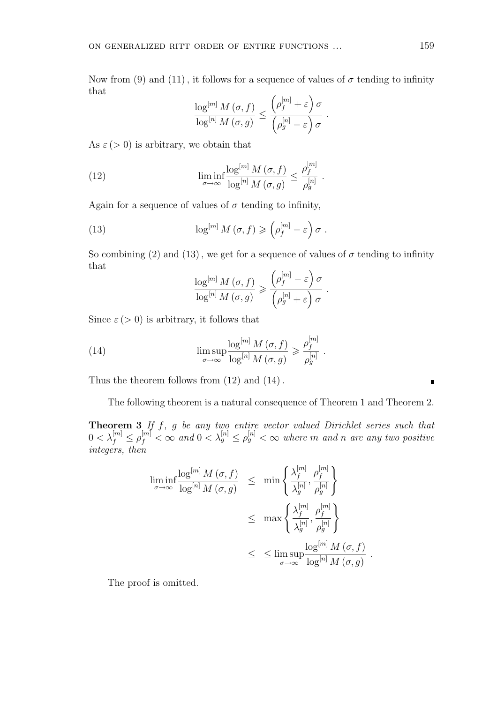Now from (9) and (11), it follows for a sequence of values of  $\sigma$  tending to infinity that  $\sqrt{|m|}$  $\Delta$ 

$$
\frac{\log^{[m]} M(\sigma, f)}{\log^{[n]} M(\sigma, g)} \leq \frac{\left(\rho_f^{[m]} + \varepsilon\right) \sigma}{\left(\rho_g^{[n]} - \varepsilon\right) \sigma}.
$$

.

As  $\varepsilon$  (> 0) is arbitrary, we obtain that

(12) 
$$
\liminf_{\sigma \to \infty} \frac{\log^{[m]} M(\sigma, f)}{\log^{[n]} M(\sigma, g)} \leq \frac{\rho_f^{[m]}}{\rho_g^{[n]}}
$$

Again for a sequence of values of  $\sigma$  tending to infinity,

(13) 
$$
\log^{[m]} M(\sigma, f) \geqslant \left(\rho_f^{[m]} - \varepsilon\right) \sigma.
$$

So combining (2) and (13), we get for a sequence of values of  $\sigma$  tending to infinity that  $\int |m|$  $\ddot{\phantom{a}}$ 

$$
\frac{\log^{[m]} M(\sigma, f)}{\log^{[n]} M(\sigma, g)} \ge \frac{\left(\rho_f^{[m]} - \varepsilon\right) \sigma}{\left(\rho_g^{[n]} + \varepsilon\right) \sigma}.
$$

Since  $\varepsilon$  ( $> 0$ ) is arbitrary, it follows that

(14) 
$$
\limsup_{\sigma \to \infty} \frac{\log^{[m]} M(\sigma, f)}{\log^{[n]} M(\sigma, g)} \geqslant \frac{\rho_f^{[m]}}{\rho_g^{[n]}}.
$$

Thus the theorem follows from  $(12)$  and  $(14)$ .

The following theorem is a natural consequence of Theorem 1 and Theorem 2.

**Theorem 3** If  $f$ ,  $g$  be any two entire vector valued Dirichlet series such that  $0<\lambda_f^{[m]}\leq \rho_f^{[m]}<\infty$  and  $0<\lambda_g^{[n]}\leq \rho_g^{[n]}<\infty$  where  $m$  and  $n$  are any two positive integers, then

$$
\liminf_{\sigma \to \infty} \frac{\log^{[m]} M(\sigma, f)}{\log^{[n]} M(\sigma, g)} \leq \min \left\{ \frac{\lambda_f^{[m]} }{\lambda_g^{[n]}}, \frac{\rho_f^{[m]} }{\rho_g^{[n]} } \right\}
$$
  

$$
\leq \max \left\{ \frac{\lambda_f^{[m]} }{\lambda_g^{[n]}}, \frac{\rho_f^{[m]} }{\rho_g^{[n]} } \right\}
$$
  

$$
\leq \limsup_{\sigma \to \infty} \frac{\log^{[m]} M(\sigma, f)}{\log^{[n]} M(\sigma, g)}
$$

.

The proof is omitted.

 $\blacksquare$